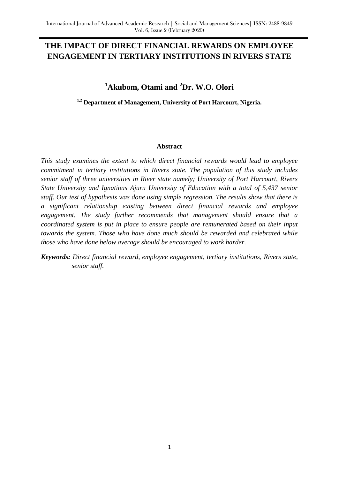## **THE IMPACT OF DIRECT FINANCIAL REWARDS ON EMPLOYEE ENGAGEMENT IN TERTIARY INSTITUTIONS IN RIVERS STATE**

# **<sup>1</sup>Akubom, Otami and <sup>2</sup>Dr. W.O. Olori**

**1,2 Department of Management, University of Port Harcourt, Nigeria.**

#### **Abstract**

*This study examines the extent to which direct financial rewards would lead to employee commitment in tertiary institutions in Rivers state. The population of this study includes senior staff of three universities in River state namely; University of Port Harcourt, Rivers State University and Ignatious Ajuru University of Education with a total of 5,437 senior staff. Our test of hypothesis was done using simple regression. The results show that there is a significant relationship existing between direct financial rewards and employee engagement. The study further recommends that management should ensure that a coordinated system is put in place to ensure people are remunerated based on their input towards the system. Those who have done much should be rewarded and celebrated while those who have done below average should be encouraged to work harder.*

*Keywords: Direct financial reward, employee engagement, tertiary institutions, Rivers state, senior staff.*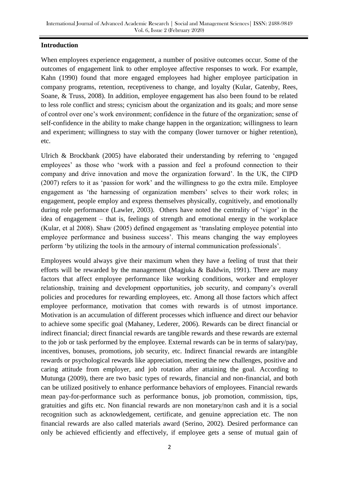### **Introduction**

When employees experience engagement, a number of positive outcomes occur. Some of the outcomes of engagement link to other employee affective responses to work. For example, Kahn (1990) found that more engaged employees had higher employee participation in company programs, retention, receptiveness to change, and loyalty (Kular, Gatenby, Rees, Soane, & Truss, 2008). In addition, employee engagement has also been found to be related to less role conflict and stress; cynicism about the organization and its goals; and more sense of control over one"s work environment; confidence in the future of the organization; sense of self-confidence in the ability to make change happen in the organization; willingness to learn and experiment; willingness to stay with the company (lower turnover or higher retention), etc.

Ulrich & Brockbank (2005) have elaborated their understanding by referring to "engaged employees' as those who 'work with a passion and feel a profound connection to their company and drive innovation and move the organization forward". In the UK, the CIPD (2007) refers to it as "passion for work" and the willingness to go the extra mile. Employee engagement as 'the harnessing of organization members' selves to their work roles; in engagement, people employ and express themselves physically, cognitively, and emotionally during role performance (Lawler, 2003). Others have noted the centrality of 'vigor' in the idea of engagement – that is, feelings of strength and emotional energy in the workplace (Kular, et al 2008). Shaw (2005) defined engagement as "translating employee potential into employee performance and business success'. This means changing the way employees perform "by utilizing the tools in the armoury of internal communication professionals".

Employees would always give their maximum when they have a feeling of trust that their efforts will be rewarded by the management (Magjuka & Baldwin, 1991). There are many factors that affect employee performance like working conditions, worker and employer relationship, training and development opportunities, job security, and company"s overall policies and procedures for rewarding employees, etc. Among all those factors which affect employee performance, motivation that comes with rewards is of utmost importance. Motivation is an accumulation of different processes which influence and direct our behavior to achieve some specific goal (Mahaney, Lederer, 2006). Rewards can be direct financial or indirect financial; direct financial rewards are tangible rewards and these rewards are external to the job or task performed by the employee. External rewards can be in terms of salary/pay, incentives, bonuses, promotions, job security, etc. Indirect financial rewards are intangible rewards or psychological rewards like appreciation, meeting the new challenges, positive and caring attitude from employer, and job rotation after attaining the goal. According to Mutunga (2009), there are two basic types of rewards, financial and non-financial, and both can be utilized positively to enhance performance behaviors of employees. Financial rewards mean pay-for-performance such as performance bonus, job promotion, commission, tips, gratuities and gifts etc. Non financial rewards are non monetary/non cash and it is a social recognition such as acknowledgement, certificate, and genuine appreciation etc. The non financial rewards are also called materials award (Serino, 2002). Desired performance can only be achieved efficiently and effectively, if employee gets a sense of mutual gain of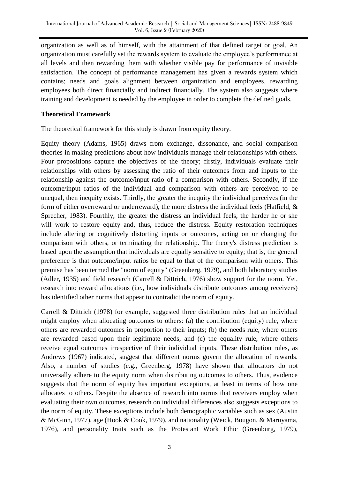organization as well as of himself, with the attainment of that defined target or goal. An organization must carefully set the rewards system to evaluate the employee"s performance at all levels and then rewarding them with whether visible pay for performance of invisible satisfaction. The concept of performance management has given a rewards system which contains; needs and goals alignment between organization and employees, rewarding employees both direct financially and indirect financially. The system also suggests where training and development is needed by the employee in order to complete the defined goals.

### **Theoretical Framework**

The theoretical framework for this study is drawn from equity theory.

Equity theory (Adams, 1965) draws from exchange, dissonance, and social comparison theories in making predictions about how individuals manage their relationships with others. Four propositions capture the objectives of the theory; firstly, individuals evaluate their relationships with others by assessing the ratio of their outcomes from and inputs to the relationship against the outcome/input ratio of a comparison with others. Secondly, if the outcome/input ratios of the individual and comparison with others are perceived to be unequal, then inequity exists. Thirdly, the greater the inequity the individual perceives (in the form of either overreward or underreward), the more distress the individual feels (Hatfield, & Sprecher, 1983). Fourthly, the greater the distress an individual feels, the harder he or she will work to restore equity and, thus, reduce the distress. Equity restoration techniques include altering or cognitively distorting inputs or outcomes, acting on or changing the comparison with others, or terminating the relationship. The theory's distress prediction is based upon the assumption that individuals are equally sensitive to equity; that is, the general preference is that outcome/input ratios be equal to that of the comparison with others. This premise has been termed the "norm of equity" (Greenberg, 1979), and both laboratory studies (Adler, 1935) and field research (Carrell & Dittrich, 1976) show support for the norm. Yet, research into reward allocations (i.e., how individuals distribute outcomes among receivers) has identified other norms that appear to contradict the norm of equity.

Carrell & Dittrich (1978) for example, suggested three distribution rules that an individual might employ when allocating outcomes to others: (a) the contribution (equity) rule, where others are rewarded outcomes in proportion to their inputs; (b) the needs rule, where others are rewarded based upon their legitimate needs, and (c) the equality rule, where others receive equal outcomes irrespective of their individual inputs. These distribution rules, as Andrews (1967) indicated, suggest that different norms govern the allocation of rewards. Also, a number of studies (e.g., Greenberg, 1978) have shown that allocators do not universally adhere to the equity norm when distributing outcomes to others. Thus, evidence suggests that the norm of equity has important exceptions, at least in terms of how one allocates to others. Despite the absence of research into norms that receivers employ when evaluating their own outcomes, research on individual differences also suggests exceptions to the norm of equity. These exceptions include both demographic variables such as sex (Austin & McGinn, 1977), age (Hook & Cook, 1979), and nationality (Weick, Bougon, & Maruyama, 1976), and personality traits such as the Protestant Work Ethic (Greenburg, 1979),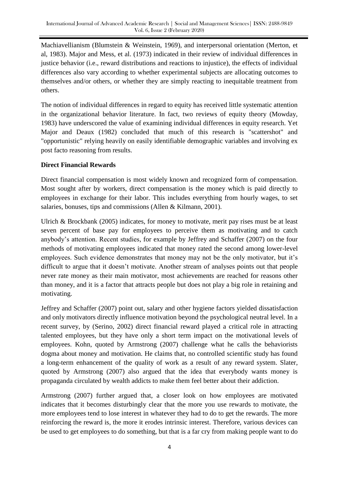Machiavellianism (Blumstein & Weinstein, 1969), and interpersonal orientation (Merton, et al, 1983). Major and Mess, et al. (1973) indicated in their review of individual differences in justice behavior (i.e., reward distributions and reactions to injustice), the effects of individual differences also vary according to whether experimental subjects are allocating outcomes to themselves and/or others, or whether they are simply reacting to inequitable treatment from others.

The notion of individual differences in regard to equity has received little systematic attention in the organizational behavior literature. In fact, two reviews of equity theory (Mowday, 1983) have underscored the value of examining individual differences in equity research. Yet Major and Deaux (1982) concluded that much of this research is "scattershot" and "opportunistic" relying heavily on easily identifiable demographic variables and involving ex post facto reasoning from results.

## **Direct Financial Rewards**

Direct financial compensation is most widely known and recognized form of compensation. Most sought after by workers, direct compensation is the money which is paid directly to employees in exchange for their labor. This includes everything from hourly wages, to set salaries, bonuses, tips and commissions (Allen & Kilmann, 2001).

Ulrich & Brockbank (2005) indicates, for money to motivate, merit pay rises must be at least seven percent of base pay for employees to perceive them as motivating and to catch anybody"s attention. Recent studies, for example by Jeffrey and Schaffer (2007) on the four methods of motivating employees indicated that money rated the second among lower-level employees. Such evidence demonstrates that money may not be the only motivator, but it's difficult to argue that it doesn't motivate. Another stream of analyses points out that people never rate money as their main motivator, most achievements are reached for reasons other than money, and it is a factor that attracts people but does not play a big role in retaining and motivating.

Jeffrey and Schaffer (2007) point out, salary and other hygiene factors yielded dissatisfaction and only motivators directly influence motivation beyond the psychological neutral level. In a recent survey, by (Serino, 2002) direct financial reward played a critical role in attracting talented employees, but they have only a short term impact on the motivational levels of employees. Kohn, quoted by Armstrong (2007) challenge what he calls the behaviorists dogma about money and motivation. He claims that, no controlled scientific study has found a long-term enhancement of the quality of work as a result of any reward system. Slater, quoted by Armstrong (2007) also argued that the idea that everybody wants money is propaganda circulated by wealth addicts to make them feel better about their addiction.

Armstrong (2007) further argued that, a closer look on how employees are motivated indicates that it becomes disturbingly clear that the more you use rewards to motivate, the more employees tend to lose interest in whatever they had to do to get the rewards. The more reinforcing the reward is, the more it erodes intrinsic interest. Therefore, various devices can be used to get employees to do something, but that is a far cry from making people want to do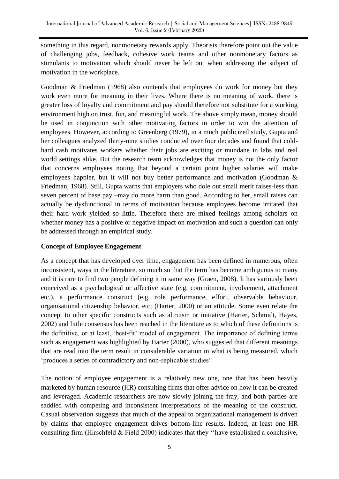something in this regard, nonmonetary rewards apply. Theorists therefore point out the value of challenging jobs, feedback, cohesive work teams and other nonmonetary factors as stimulants to motivation which should never be left out when addressing the subject of motivation in the workplace.

Goodman & Friedman (1968) also contends that employees do work for money but they work even more for meaning in their lives. Where there is no meaning of work, there is greater loss of loyalty and commitment and pay should therefore not substitute for a working environment high on trust, fun, and meaningful work. The above simply mean, money should be used in conjunction with other motivating factors in order to win the attention of employees. However, according to Greenberg (1979), in a much publicized study, Gupta and her colleagues analyzed thirty-nine studies conducted over four decades and found that coldhard cash motivates workers whether their jobs are exciting or mundane in labs and real world settings alike. But the research team acknowledges that money is not the only factor that concerns employees noting that beyond a certain point higher salaries will make employees happier, but it will not buy better performance and motivation (Goodman & Friedman, 1968). Still, Gupta warns that employers who dole out small merit raises-less than seven percent of base pay –may do more harm than good. According to her, small raises can actually be dysfunctional in terms of motivation because employees become irritated that their hard work yielded so little. Therefore there are mixed feelings among scholars on whether money has a positive or negative impact on motivation and such a question can only be addressed through an empirical study.

## **Concept of Employee Engagement**

As a concept that has developed over time, engagement has been defined in numerous, often inconsistent, ways in the literature, so much so that the term has become ambiguous to many and it is rare to find two people defining it in same way (Graen, 2008). It has variously been conceived as a psychological or affective state (e.g. commitment, involvement, attachment etc.), a performance construct (e.g. role performance, effort, observable behaviour, organisational citizenship behavior, etc; (Harter, 2000) or an attitude. Some even relate the concept to other specific constructs such as altruism or initiative (Harter, Schmidt, Hayes, 2002) and little consensus has been reached in the literature as to which of these definitions is the definitive, or at least, 'best-fit' model of engagement. The importance of defining terms such as engagement was highlighted by Harter (2000), who suggested that different meanings that are read into the term result in considerable variation in what is being measured, which 'produces a series of contradictory and non-replicable studies'

The notion of employee engagement is a relatively new one, one that has been heavily marketed by human resource (HR) consulting firms that offer advice on how it can be created and leveraged. Academic researchers are now slowly joining the fray, and both parties are saddled with competing and inconsistent interpretations of the meaning of the construct. Casual observation suggests that much of the appeal to organizational management is driven by claims that employee engagement drives bottom-line results. Indeed, at least one HR consulting firm (Hirschfeld & Field 2000) indicates that they ""have established a conclusive,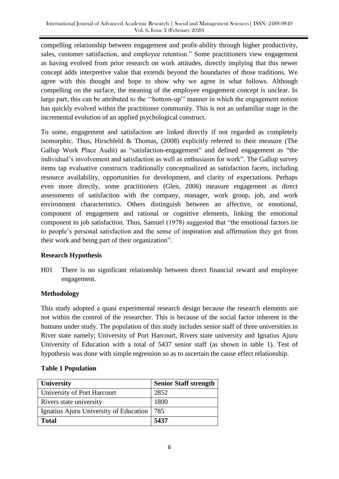compelling relationship between engagement and profit-ability through higher productivity, sales, customer satisfaction, and employee retention." Some practitioners view engagement as having evolved from prior research on work attitudes, directly implying that this newer concept adds interpretive value that extends beyond the boundaries of those traditions. We agree with this thought and hope to show why we agree in what follows. Although compelling on the surface, the meaning of the employee engagement concept is unclear. In large part, this can be attributed to the "bottom-up" manner in which the engagement notion has quickly evolved within the practitioner community. This is not an unfamiliar stage in the incremental evolution of an applied psychological construct.

To some, engagement and satisfaction are linked directly if not regarded as completely isomorphic. Thus, Hirschfeld & Thomas, (2008) explicitly referred to their measure (The Gallup Work Place Audit) as "satisfaction-engagement" and defined engagement as "the individual"s involvement and satisfaction as well as enthusiasm for work". The Gallup survey items tap evaluative constructs traditionally conceptualized as satisfaction facets, including resource availability, opportunities for development, and clarity of expectations. Perhaps even more directly, some practitioners (Glen, 2006) measure engagement as direct assessments of satisfaction with the company, manager, work group, job, and work environment characteristics. Others distinguish between an affective, or emotional, component of engagement and rational or cognitive elements, linking the emotional component to job satisfaction. Thus, Samuel (1978) suggested that "the emotional factors tie to people"s personal satisfaction and the sense of inspiration and affirmation they get from their work and being part of their organization".

## **Research Hypothesis**

H01 There is no significant relationship between direct financial reward and employee engagement.

## **Methodology**

This study adopted a quasi experimental research design because the research elements are not within the control of the researcher. This is because of the social factor inherent in the humans under study. The population of this study includes senior staff of three universities in River state namely; University of Port Harcourt, Rivers state university and Ignatius Ajuru University of Education with a total of 5437 senior staff (as shown in table 1). Test of hypothesis was done with simple regression so as to ascertain the cause effect relationship.

|  | <b>Table 1 Population</b> |
|--|---------------------------|
|--|---------------------------|

| <b>University</b>                      | <b>Senior Staff strength</b> |
|----------------------------------------|------------------------------|
| University of Port Harcourt            | 2852                         |
| Rivers state university                | 1800                         |
| Ignatius Ajuru University of Education | 785                          |
| Total                                  | 5437                         |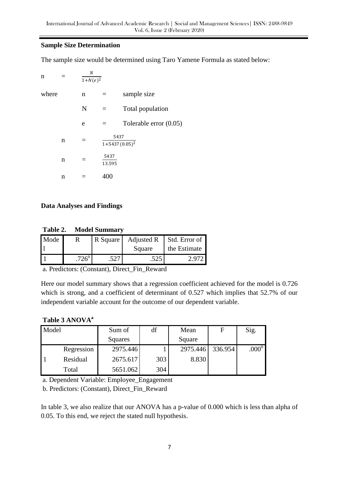### **Sample Size Determination**

The sample size would be determined using Taro Yamene Formula as stated below:

| n     | $\boldsymbol{N}$<br>$\overline{1+N(e)^2}$ |                |                                         |
|-------|-------------------------------------------|----------------|-----------------------------------------|
| where | n                                         |                | sample size                             |
|       | N                                         | $=$            | Total population                        |
|       | e                                         | $=$            | Tolerable error $(0.05)$                |
| n     | $=$                                       |                | 5437<br>$\overline{1+5}$ 437 $(0.05)^2$ |
| n     | $=$                                       | 5437<br>13.595 |                                         |
| n     |                                           | 400            |                                         |

### **Data Analyses and Findings**

**Table 2. Model Summary**

| Mode |                    | R Square | Adjusted R | Std. Error of |
|------|--------------------|----------|------------|---------------|
|      |                    |          | Square     | the Estimate  |
|      | $726^{\mathrm{a}}$ |          |            | 2.972         |

a. Predictors: (Constant), Direct\_Fin\_Reward

Here our model summary shows that a regression coefficient achieved for the model is 0.726 which is strong, and a coefficient of determinant of 0.527 which implies that 52.7% of our independent variable account for the outcome of our dependent variable.

### **Table 3 ANOVA<sup>a</sup>**

| Model |            | Sum of   | df  | Mean     | F       | Sig.              |
|-------|------------|----------|-----|----------|---------|-------------------|
|       |            | Squares  |     | Square   |         |                   |
|       | Regression | 2975.446 |     | 2975.446 | 336.954 | .000 <sup>b</sup> |
|       | Residual   | 2675.617 | 303 | 8.830    |         |                   |
|       | Total      | 5651.062 | 304 |          |         |                   |

a. Dependent Variable: Employee\_Engagement

b. Predictors: (Constant), Direct\_Fin\_Reward

In table 3, we also realize that our ANOVA has a p-value of 0.000 which is less than alpha of 0.05. To this end, we reject the stated null hypothesis.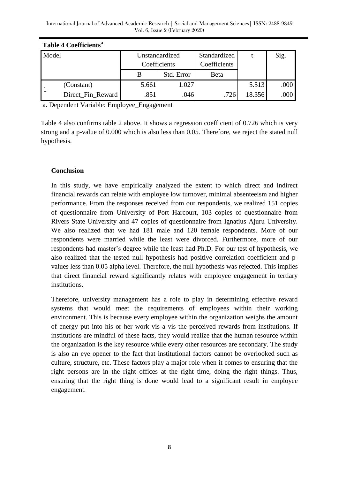| Table 4 Coefficients <sup>a</sup> |                   |                |            |              |        |      |  |
|-----------------------------------|-------------------|----------------|------------|--------------|--------|------|--|
| Model                             |                   | Unstandardized |            | Standardized |        | Sig. |  |
|                                   |                   | Coefficients   |            | Coefficients |        |      |  |
|                                   |                   |                | Std. Error | Beta         |        |      |  |
|                                   | (Constant)        | 5.661          | 1.027      |              | 5.513  | .000 |  |
|                                   | Direct_Fin_Reward | .851           | .046       | .726         | 18.356 | .000 |  |

| <b>Table 4 Coefficients</b> |  |  |
|-----------------------------|--|--|

a. Dependent Variable: Employee\_Engagement

Table 4 also confirms table 2 above. It shows a regression coefficient of 0.726 which is very strong and a p-value of 0.000 which is also less than 0.05. Therefore, we reject the stated null hypothesis.

### **Conclusion**

In this study, we have empirically analyzed the extent to which direct and indirect financial rewards can relate with employee low turnover, minimal absenteeism and higher performance. From the responses received from our respondents, we realized 151 copies of questionnaire from University of Port Harcourt, 103 copies of questionnaire from Rivers State University and 47 copies of questionnaire from Ignatius Ajuru University. We also realized that we had 181 male and 120 female respondents. More of our respondents were married while the least were divorced. Furthermore, more of our respondents had master"s degree while the least had Ph.D. For our test of hypothesis, we also realized that the tested null hypothesis had positive correlation coefficient and pvalues less than 0.05 alpha level. Therefore, the null hypothesis was rejected. This implies that direct financial reward significantly relates with employee engagement in tertiary institutions.

Therefore, university management has a role to play in determining effective reward systems that would meet the requirements of employees within their working environment. This is because every employee within the organization weighs the amount of energy put into his or her work vis a vis the perceived rewards from institutions. If institutions are mindful of these facts, they would realize that the human resource within the organization is the key resource while every other resources are secondary. The study is also an eye opener to the fact that institutional factors cannot be overlooked such as culture, structure, etc. These factors play a major role when it comes to ensuring that the right persons are in the right offices at the right time, doing the right things. Thus, ensuring that the right thing is done would lead to a significant result in employee engagement.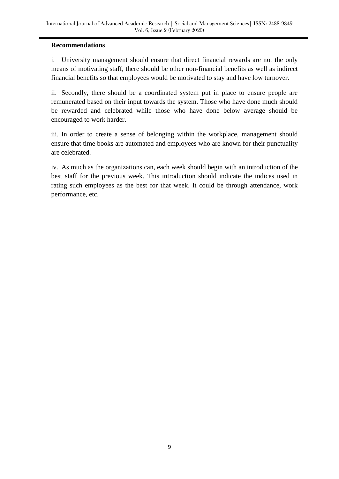### **Recommendations**

i. University management should ensure that direct financial rewards are not the only means of motivating staff, there should be other non-financial benefits as well as indirect financial benefits so that employees would be motivated to stay and have low turnover.

ii. Secondly, there should be a coordinated system put in place to ensure people are remunerated based on their input towards the system. Those who have done much should be rewarded and celebrated while those who have done below average should be encouraged to work harder.

iii. In order to create a sense of belonging within the workplace, management should ensure that time books are automated and employees who are known for their punctuality are celebrated.

iv. As much as the organizations can, each week should begin with an introduction of the best staff for the previous week. This introduction should indicate the indices used in rating such employees as the best for that week. It could be through attendance, work performance, etc.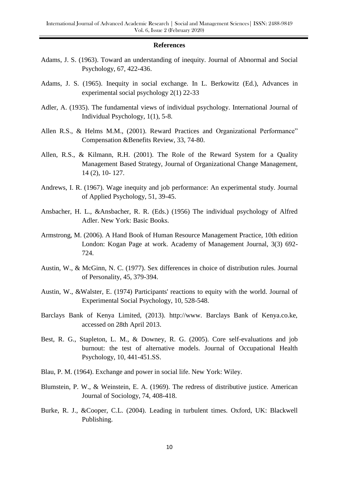#### **References**

- Adams, J. S. (1963). Toward an understanding of inequity. Journal of Abnormal and Social Psychology, 67, 422-436.
- Adams, J. S. (1965). Inequity in social exchange. In L. Berkowitz (Ed.), Advances in experimental social psychology 2(1) 22-33
- Adler, A. (1935). The fundamental views of individual psychology. International Journal of Individual Psychology, 1(1), 5-8.
- Allen R.S., & Helms M.M., (2001). Reward Practices and Organizational Performance" Compensation &Benefits Review, 33, 74-80.
- Allen, R.S., & Kilmann, R.H. (2001). The Role of the Reward System for a Quality Management Based Strategy, Journal of Organizational Change Management, 14 (2), 10- 127.
- Andrews, I. R. (1967). Wage inequity and job performance: An experimental study. Journal of Applied Psychology, 51, 39-45.
- Ansbacher, H. L., &Ansbacher, R. R. (Eds.) (1956) The individual psychology of Alfred Adler. New York: Basic Books.
- Armstrong, M. (2006). A Hand Book of Human Resource Management Practice, 10th edition London: Kogan Page at work. Academy of Management Journal, 3(3) 692- 724.
- Austin, W., & McGinn, N. C. (1977). Sex differences in choice of distribution rules. Journal of Personality, 45, 379-394.
- Austin, W., &Walster, E. (1974) Participants' reactions to equity with the world. Journal of Experimental Social Psychology, 10, 528-548.
- Barclays Bank of Kenya Limited, (2013). http://www. Barclays Bank of Kenya.co.ke, accessed on 28th April 2013.
- Best, R. G., Stapleton, L. M., & Downey, R. G. (2005). Core self-evaluations and job burnout: the test of alternative models. Journal of Occupational Health Psychology, 10, 441-451.SS.
- Blau, P. M. (1964). Exchange and power in social life. New York: Wiley.
- Blumstein, P. W., & Weinstein, E. A. (1969). The redress of distributive justice. American Journal of Sociology, 74, 408-418.
- Burke, R. J., &Cooper, C.L. (2004). Leading in turbulent times. Oxford, UK: Blackwell Publishing.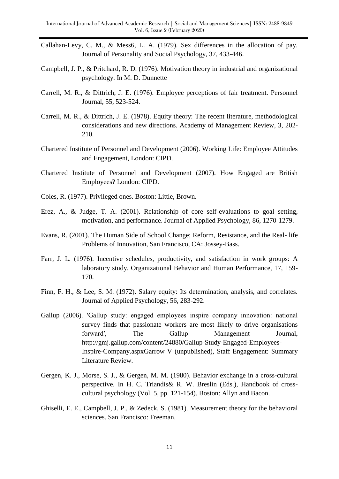- Callahan-Levy, C. M., & Mess6, L. A. (1979). Sex differences in the allocation of pay. Journal of Personality and Social Psychology, 37, 433-446.
- Campbell, J. P., & Pritchard, R. D. (1976). Motivation theory in industrial and organizational psychology. In M. D. Dunnette
- Carrell, M. R., & Dittrich, J. E. (1976). Employee perceptions of fair treatment. Personnel Journal, 55, 523-524.
- Carrell, M. R., & Dittrich, J. E. (1978). Equity theory: The recent literature, methodological considerations and new directions. Academy of Management Review, 3, 202- 210.
- Chartered Institute of Personnel and Development (2006). Working Life: Employee Attitudes and Engagement, London: CIPD.
- Chartered Institute of Personnel and Development (2007). How Engaged are British Employees? London: CIPD.
- Coles, R. (1977). Privileged ones. Boston: Little, Brown.
- Erez, A., & Judge, T. A. (2001). Relationship of core self-evaluations to goal setting, motivation, and performance. Journal of Applied Psychology, 86, 1270-1279.
- Evans, R. (2001). The Human Side of School Change; Reform, Resistance, and the Real- life Problems of Innovation, San Francisco, CA: Jossey-Bass.
- Farr, J. L. (1976). Incentive schedules, productivity, and satisfaction in work groups: A laboratory study. Organizational Behavior and Human Performance, 17, 159- 170.
- Finn, F. H., & Lee, S. M. (1972). Salary equity: Its determination, analysis, and correlates. Journal of Applied Psychology, 56, 283-292.
- Gallup (2006). 'Gallup study: engaged employees inspire company innovation: national survey finds that passionate workers are most likely to drive organisations forward', The Gallup Management Journal, http://gmj.gallup.com/content/24880/Gallup-Study-Engaged-Employees-Inspire-Company.aspxGarrow V (unpublished), Staff Engagement: Summary Literature Review.
- Gergen, K. J., Morse, S. J., & Gergen, M. M. (1980). Behavior exchange in a cross-cultural perspective. In H. C. Triandis& R. W. Breslin (Eds.), Handbook of crosscultural psychology (Vol. 5, pp. 121-154). Boston: Allyn and Bacon.
- Ghiselli, E. E., Campbell, J. P., & Zedeck, S. (1981). Measurement theory for the behavioral sciences. San Francisco: Freeman.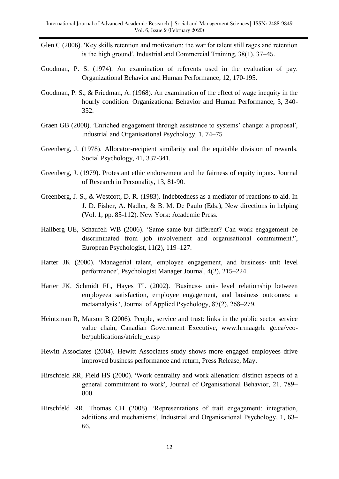- Glen C (2006). 'Key skills retention and motivation: the war for talent still rages and retention is the high groundʹ, Industrial and Commercial Training, 38(1), 37–45.
- Goodman, P. S. (1974). An examination of referents used in the evaluation of pay. Organizational Behavior and Human Performance, 12, 170-195.
- Goodman, P. S., & Friedman, A. (1968). An examination of the effect of wage inequity in the hourly condition. Organizational Behavior and Human Performance, 3, 340- 352.
- Graen GB (2008). 'Enriched engagement through assistance to systems' change: a proposal', Industrial and Organisational Psychology, 1, 74–75
- Greenberg, J. (1978). Allocator-recipient similarity and the equitable division of rewards. Social Psychology, 41, 337-341.
- Greenberg, J. (1979). Protestant ethic endorsement and the fairness of equity inputs. Journal of Research in Personality, 13, 81-90.
- Greenberg, J. S., & Westcott, D. R. (1983). Indebtedness as a mediator of reactions to aid. In J. D. Fisher, A. Nadler, & B. M. De Paulo (Eds.), New directions in helping (Vol. 1, pp. 85-112). New York: Academic Press.
- Hallberg UE, Schaufeli WB (2006). "Same same but different? Can work engagement be discriminated from job involvement and organisational commitment?ʹ, European Psychologist, 11(2), 119–127.
- Harter JK (2000). 'Managerial talent, employee engagement, and business- unit level performanceʹ, Psychologist Manager Journal, 4(2), 215–224.
- Harter JK, Schmidt FL, Hayes TL (2002). 'Business- unit- level relationship between employeea satisfaction, employee engagement, and business outcomes: a metaanalysis ʹ, Journal of Applied Psychology, 87(2), 268–279.
- Heintzman R, Marson B (2006). People, service and trust: links in the public sector service value chain, Canadian Government Executive, www.hrmaagrh. gc.ca/veobe/publications/atricle\_e.asp
- Hewitt Associates (2004). Hewitt Associates study shows more engaged employees drive improved business performance and return, Press Release, May.
- Hirschfeld RR, Field HS (2000). 'Work centrality and work alienation: distinct aspects of a general commitment to workʹ, Journal of Organisational Behavior, 21, 789– 800.
- Hirschfeld RR, Thomas CH (2008). 'Representations of trait engagement: integration, additions and mechanismsʹ, Industrial and Organisational Psychology, 1, 63– 66.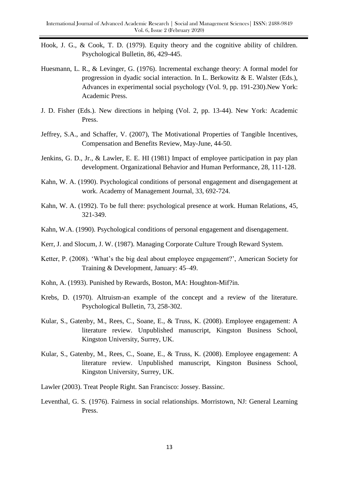- Hook, J. G., & Cook, T. D. (1979). Equity theory and the cognitive ability of children. Psychological Bulletin, 86, 429-445.
- Huesmann, L. R., & Levinger, G. (1976). Incremental exchange theory: A formal model for progression in dyadic social interaction. In L. Berkowitz & E. Walster (Eds.), Advances in experimental social psychology (Vol. 9, pp. 191-230).New York: Academic Press.
- J. D. Fisher (Eds.). New directions in helping (Vol. 2, pp. 13-44). New York: Academic Press.
- Jeffrey, S.A., and Schaffer, V. (2007), The Motivational Properties of Tangible Incentives, Compensation and Benefits Review, May-June, 44-50.
- Jenkins, G. D., Jr., & Lawler, E. E. HI (1981) Impact of employee participation in pay plan development. Organizational Behavior and Human Performance, 28, 111-128.
- Kahn, W. A. (1990). Psychological conditions of personal engagement and disengagement at work. Academy of Management Journal, 33, 692-724.
- Kahn, W. A. (1992). To be full there: psychological presence at work. Human Relations, 45, 321-349.
- Kahn, W.A. (1990). Psychological conditions of personal engagement and disengagement.
- Kerr, J. and Slocum, J. W. (1987). Managing Corporate Culture Trough Reward System.
- Ketter, P. (2008). 'What's the big deal about employee engagement?', American Society for Training & Development, January: 45–49.
- Kohn, A. (1993). Punished by Rewards, Boston, MA: Houghton-Mif?in.
- Krebs, D. (1970). Altruism-an example of the concept and a review of the literature. Psychological Bulletin, 73, 258-302.
- Kular, S., Gatenby, M., Rees, C., Soane, E., & Truss, K. (2008). Employee engagement: A literature review. Unpublished manuscript, Kingston Business School, Kingston University, Surrey, UK.
- Kular, S., Gatenby, M., Rees, C., Soane, E., & Truss, K. (2008). Employee engagement: A literature review. Unpublished manuscript, Kingston Business School, Kingston University, Surrey, UK.
- Lawler (2003). Treat People Right. San Francisco: Jossey. Bassinc.
- Leventhal, G. S. (1976). Fairness in social relationships. Morristown, NJ: General Learning Press.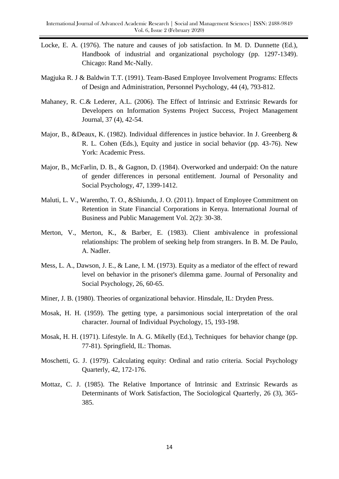- Locke, E. A. (1976). The nature and causes of job satisfaction. In M. D. Dunnette (Ed.), Handbook of industrial and organizational psychology (pp. 1297-1349). Chicago: Rand Mc-Nally.
- Magjuka R. J & Baldwin T.T. (1991). Team-Based Employee Involvement Programs: Effects of Design and Administration, Personnel Psychology, 44 (4), 793-812.
- Mahaney, R. C.& Lederer, A.L. (2006). The Effect of Intrinsic and Extrinsic Rewards for Developers on Information Systems Project Success, Project Management Journal, 37 (4), 42-54.
- Major, B., &Deaux, K. (1982). Individual differences in justice behavior. In J. Greenberg & R. L. Cohen (Eds.), Equity and justice in social behavior (pp. 43-76). New York: Academic Press.
- Major, B., McFarlin, D. B., & Gagnon, D. (1984). Overworked and underpaid: On the nature of gender differences in personal entitlement. Journal of Personality and Social Psychology, 47, 1399-1412.
- Maluti, L. V., Warentho, T. O., &Shiundu, J. O. (2011). Impact of Employee Commitment on Retention in State Financial Corporations in Kenya. International Journal of Business and Public Management Vol. 2(2): 30-38.
- Merton, V., Merton, K., & Barber, E. (1983). Client ambivalence in professional relationships: The problem of seeking help from strangers. In B. M. De Paulo, A. Nadler.
- Mess, L. A., Dawson, J. E., & Lane, I. M. (1973). Equity as a mediator of the effect of reward level on behavior in the prisoner's dilemma game. Journal of Personality and Social Psychology, 26, 60-65.
- Miner, J. B. (1980). Theories of organizational behavior. Hinsdale, IL: Dryden Press.
- Mosak, H. H. (1959). The getting type, a parsimonious social interpretation of the oral character. Journal of Individual Psychology, 15, 193-198.
- Mosak, H. H. (1971). Lifestyle. In A. G. Mikelly (Ed.), Techniques for behavior change (pp. 77-81). Springfield, IL: Thomas.
- Moschetti, G. J. (1979). Calculating equity: Ordinal and ratio criteria. Social Psychology Quarterly, 42, 172-176.
- Mottaz, C. J. (1985). The Relative Importance of Intrinsic and Extrinsic Rewards as Determinants of Work Satisfaction, The Sociological Quarterly, 26 (3), 365- 385.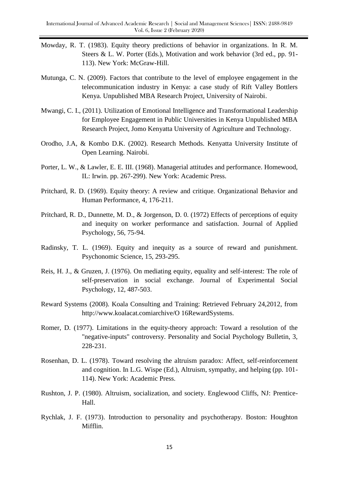- Mowday, R. T. (1983). Equity theory predictions of behavior in organizations. In R. M. Steers & L. W. Porter (Eds.), Motivation and work behavior (3rd ed., pp. 91- 113). New York: McGraw-Hill.
- Mutunga, C. N. (2009). Factors that contribute to the level of employee engagement in the telecommunication industry in Kenya: a case study of Rift Valley Bottlers Kenya. Unpublished MBA Research Project, University of Nairobi.
- Mwangi, C. I., (2011). Utilization of Emotional Intelligence and Transformational Leadership for Employee Engagement in Public Universities in Kenya Unpublished MBA Research Project, Jomo Kenyatta University of Agriculture and Technology.
- Orodho, J.A, & Kombo D.K. (2002). Research Methods. Kenyatta University Institute of Open Learning. Nairobi.
- Porter, L. W., & Lawler, E. E. III. (1968). Managerial attitudes and performance. Homewood, IL: Irwin. pp. 267-299). New York: Academic Press.
- Pritchard, R. D. (1969). Equity theory: A review and critique. Organizational Behavior and Human Performance, 4, 176-211.
- Pritchard, R. D., Dunnette, M. D., & Jorgenson, D. 0. (1972) Effects of perceptions of equity and inequity on worker performance and satisfaction. Journal of Applied Psychology, 56, 75-94.
- Radinsky, T. L. (1969). Equity and inequity as a source of reward and punishment. Psychonomic Science, 15, 293-295.
- Reis, H. J., & Gruzen, J. (1976). On mediating equity, equality and self-interest: The role of self-preservation in social exchange. Journal of Experimental Social Psychology, 12, 487-503.
- Reward Systems (2008). Koala Consulting and Training: Retrieved February 24,2012, from http://www.koalacat.comiarchive/O 16RewardSystems.
- Romer, D. (1977). Limitations in the equity-theory approach: Toward a resolution of the "negative-inputs" controversy. Personality and Social Psychology Bulletin, 3, 228-231.
- Rosenhan, D. L. (1978). Toward resolving the altruism paradox: Affect, self-reinforcement and cognition. In L.G. Wispe (Ed.), Altruism, sympathy, and helping (pp. 101- 114). New York: Academic Press.
- Rushton, J. P. (1980). Altruism, socialization, and society. Englewood Cliffs, NJ: Prentice-Hall.
- Rychlak, J. F. (1973). Introduction to personality and psychotherapy. Boston: Houghton Mifflin.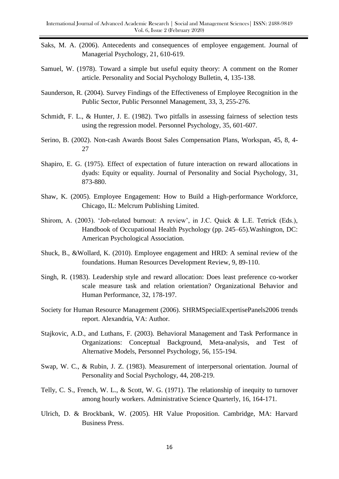- Saks, M. A. (2006). Antecedents and consequences of employee engagement. Journal of Managerial Psychology, 21, 610-619.
- Samuel, W. (1978). Toward a simple but useful equity theory: A comment on the Romer article. Personality and Social Psychology Bulletin, 4, 135-138.
- Saunderson, R. (2004). Survey Findings of the Effectiveness of Employee Recognition in the Public Sector, Public Personnel Management, 33, 3, 255-276.
- Schmidt, F. L., & Hunter, J. E. (1982). Two pitfalls in assessing fairness of selection tests using the regression model. Personnel Psychology, 35, 601-607.
- Serino, B. (2002). Non-cash Awards Boost Sales Compensation Plans, Workspan, 45, 8, 4- 27
- Shapiro, E. G. (1975). Effect of expectation of future interaction on reward allocations in dyads: Equity or equality. Journal of Personality and Social Psychology, 31, 873-880.
- Shaw, K. (2005). Employee Engagement: How to Build a High-performance Workforce, Chicago, IL: Melcrum Publishing Limited.
- Shirom, A. (2003). 'Job-related burnout: A review', in J.C. Quick & L.E. Tetrick (Eds.), Handbook of Occupational Health Psychology (pp. 245–65).Washington, DC: American Psychological Association.
- Shuck, B., &Wollard, K. (2010). Employee engagement and HRD: A seminal review of the foundations. Human Resources Development Review, 9, 89-110.
- Singh, R. (1983). Leadership style and reward allocation: Does least preference co-worker scale measure task and relation orientation? Organizational Behavior and Human Performance, 32, 178-197.
- Society for Human Resource Management (2006). SHRMSpecialExpertisePanels2006 trends report. Alexandria, VA: Author.
- Stajkovic, A.D., and Luthans, F. (2003). Behavioral Management and Task Performance in Organizations: Conceptual Background, Meta-analysis, and Test of Alternative Models, Personnel Psychology, 56, 155-194.
- Swap, W. C., & Rubin, J. Z. (1983). Measurement of interpersonal orientation. Journal of Personality and Social Psychology, 44, 208-219.
- Telly, C. S., French, W. L., & Scott, W. G. (1971). The relationship of inequity to turnover among hourly workers. Administrative Science Quarterly, 16, 164-171.
- Ulrich, D. & Brockbank, W. (2005). HR Value Proposition. Cambridge, MA: Harvard Business Press.